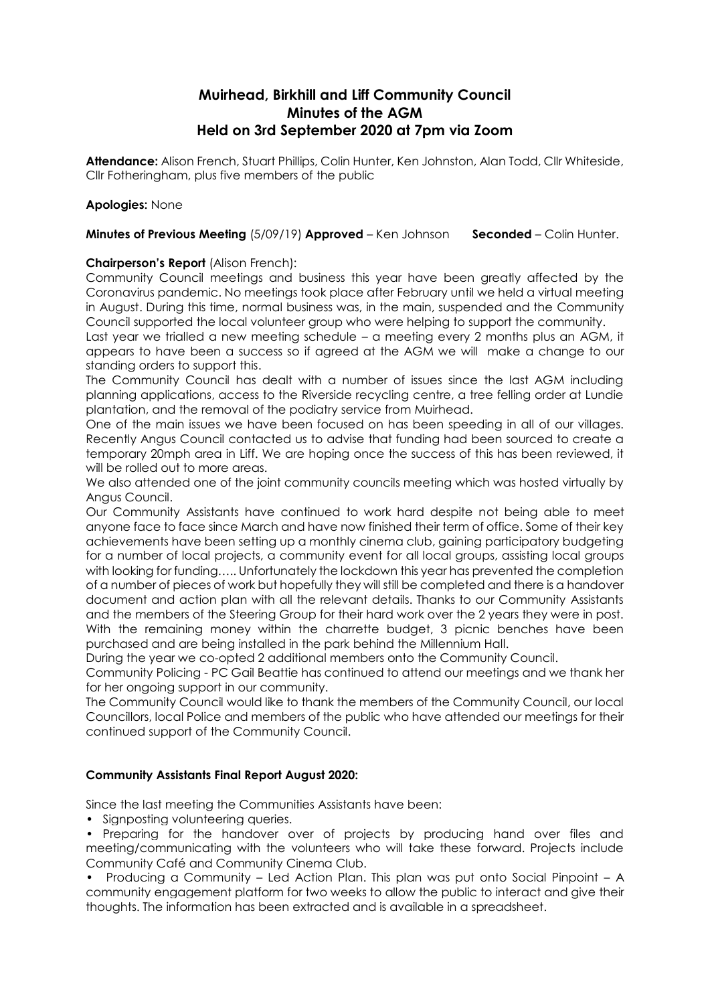# **Muirhead, Birkhill and Liff Community Council Minutes of the AGM Held on 3rd September 2020 at 7pm via Zoom**

**Attendance:** Alison French, Stuart Phillips, Colin Hunter, Ken Johnston, Alan Todd, Cllr Whiteside, Cllr Fotheringham, plus five members of the public

# **Apologies:** None

# **Minutes of Previous Meeting** (5/09/19) **Approved** – Ken Johnson **Seconded** – Colin Hunter.

# **Chairperson's Report** (Alison French):

Community Council meetings and business this year have been greatly affected by the Coronavirus pandemic. No meetings took place after February until we held a virtual meeting in August. During this time, normal business was, in the main, suspended and the Community Council supported the local volunteer group who were helping to support the community.

Last year we trialled a new meeting schedule – a meeting every 2 months plus an AGM, it appears to have been a success so if agreed at the AGM we will make a change to our standing orders to support this.

The Community Council has dealt with a number of issues since the last AGM including planning applications, access to the Riverside recycling centre, a tree felling order at Lundie plantation, and the removal of the podiatry service from Muirhead.

One of the main issues we have been focused on has been speeding in all of our villages. Recently Angus Council contacted us to advise that funding had been sourced to create a temporary 20mph area in Liff. We are hoping once the success of this has been reviewed, it will be rolled out to more areas.

We also attended one of the joint community councils meeting which was hosted virtually by Angus Council.

Our Community Assistants have continued to work hard despite not being able to meet anyone face to face since March and have now finished their term of office. Some of their key achievements have been setting up a monthly cinema club, gaining participatory budgeting for a number of local projects, a community event for all local groups, assisting local groups with looking for funding….. Unfortunately the lockdown this year has prevented the completion of a number of pieces of work but hopefully they will still be completed and there is a handover document and action plan with all the relevant details. Thanks to our Community Assistants and the members of the Steering Group for their hard work over the 2 years they were in post. With the remaining money within the charrette budget, 3 picnic benches have been purchased and are being installed in the park behind the Millennium Hall.

During the year we co-opted 2 additional members onto the Community Council.

Community Policing - PC Gail Beattie has continued to attend our meetings and we thank her for her ongoing support in our community.

The Community Council would like to thank the members of the Community Council, our local Councillors, local Police and members of the public who have attended our meetings for their continued support of the Community Council.

# **Community Assistants Final Report August 2020:**

Since the last meeting the Communities Assistants have been:

• Signposting volunteering queries.

• Preparing for the handover over of projects by producing hand over files and meeting/communicating with the volunteers who will take these forward. Projects include Community Café and Community Cinema Club.

• Producing a Community – Led Action Plan. This plan was put onto Social Pinpoint – A community engagement platform for two weeks to allow the public to interact and give their thoughts. The information has been extracted and is available in a spreadsheet.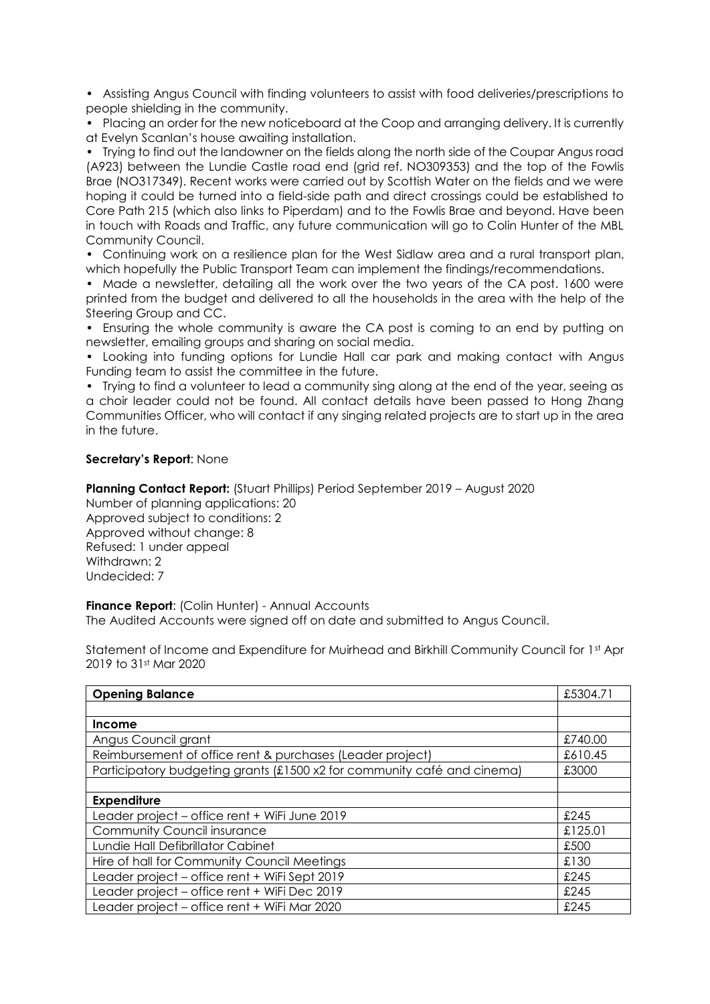• Assisting Angus Council with finding volunteers to assist with food deliveries/prescriptions to people shielding in the community.

• Placing an order for the new noticeboard at the Coop and arranging delivery. It is currently at Evelyn Scanlan's house awaiting installation.

• Trying to find out the landowner on the fields along the north side of the Coupar Angus road (A923) between the Lundie Castle road end (grid ref. NO309353) and the top of the Fowlis Brae (NO317349). Recent works were carried out by Scottish Water on the fields and we were hoping it could be turned into a field-side path and direct crossings could be established to Core Path 215 (which also links to Piperdam) and to the Fowlis Brae and beyond. Have been in touch with Roads and Traffic, any future communication will go to Colin Hunter of the MBL Community Council.

• Continuing work on a resilience plan for the West Sidlaw area and a rural transport plan, which hopefully the Public Transport Team can implement the findings/recommendations.

• Made a newsletter, detailing all the work over the two years of the CA post. 1600 were printed from the budget and delivered to all the households in the area with the help of the Steering Group and CC.

• Ensuring the whole community is aware the CA post is coming to an end by putting on newsletter, emailing groups and sharing on social media.

• Looking into funding options for Lundie Hall car park and making contact with Angus Funding team to assist the committee in the future.

• Trying to find a volunteer to lead a community sing along at the end of the year, seeing as a choir leader could not be found. All contact details have been passed to Hong Zhang Communities Officer, who will contact if any singing related projects are to start up in the area in the future.

# **Secretary's Report**: None

**Planning Contact Report:** (Stuart Phillips) Period September 2019 – August 2020

Number of planning applications: 20 Approved subject to conditions: 2 Approved without change: 8 Refused: 1 under appeal Withdrawn: 2 Undecided: 7

**Finance Report:** (Colin Hunter) - Annual Accounts The Audited Accounts were signed off on date and submitted to Angus Council.

Statement of Income and Expenditure for Muirhead and Birkhill Community Council for 1st Apr 2019 to 31st Mar 2020

| <b>Opening Balance</b>                                                  | £5304.71 |
|-------------------------------------------------------------------------|----------|
|                                                                         |          |
| <b>Income</b>                                                           |          |
| Angus Council grant                                                     | £740.00  |
| Reimbursement of office rent & purchases (Leader project)               | £610.45  |
| Participatory budgeting grants (£1500 x2 for community café and cinema) | £3000    |
|                                                                         |          |
| <b>Expenditure</b>                                                      |          |
| Leader project - office rent + WiFi June 2019                           | £245     |
| <b>Community Council insurance</b>                                      | £125.01  |
| Lundie Hall Defibrillator Cabinet                                       | £500     |
| Hire of hall for Community Council Meetings                             | £130     |
| Leader project - office rent + WiFi Sept 2019                           | £245     |
| Leader project - office rent + WiFi Dec 2019                            | £245     |
| Leader project - office rent + WiFi Mar 2020                            | £245     |